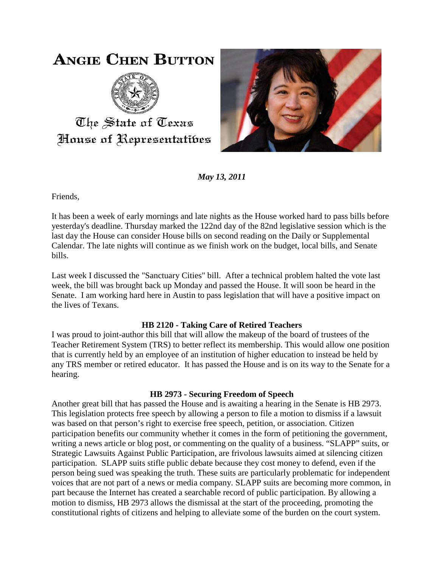# **ANGIE CHEN BUTTON**



The State of Texas House of Representatibes



*May 13, 2011*

Friends,

It has been a week of early mornings and late nights as the House worked hard to pass bills before yesterday's deadline. Thursday marked the 122nd day of the 82nd legislative session which is the last day the House can consider House bills on second reading on the Daily or Supplemental Calendar. The late nights will continue as we finish work on the budget, local bills, and Senate bills.

Last week I discussed the "Sanctuary Cities" bill. After a technical problem halted the vote last week, the bill was brought back up Monday and passed the House. It will soon be heard in the Senate. I am working hard here in Austin to pass legislation that will have a positive impact on the lives of Texans.

## **HB 2120 - Taking Care of Retired Teachers**

I was proud to joint-author this bill that will allow the makeup of the board of trustees of the Teacher Retirement System (TRS) to better reflect its membership. This would allow one position that is currently held by an employee of an institution of higher education to instead be held by any TRS member or retired educator. It has passed the House and is on its way to the Senate for a hearing.

## **HB 2973 - Securing Freedom of Speech**

Another great bill that has passed the House and is awaiting a hearing in the Senate is HB 2973. This legislation protects free speech by allowing a person to file a motion to dismiss if a lawsuit was based on that person's right to exercise free speech, petition, or association. Citizen participation benefits our community whether it comes in the form of petitioning the government, writing a news article or blog post, or commenting on the quality of a business. "SLAPP" suits, or Strategic Lawsuits Against Public Participation, are frivolous lawsuits aimed at silencing citizen participation. SLAPP suits stifle public debate because they cost money to defend, even if the person being sued was speaking the truth. These suits are particularly problematic for independent voices that are not part of a news or media company. SLAPP suits are becoming more common, in part because the Internet has created a searchable record of public participation. By allowing a motion to dismiss, HB 2973 allows the dismissal at the start of the proceeding, promoting the constitutional rights of citizens and helping to alleviate some of the burden on the court system.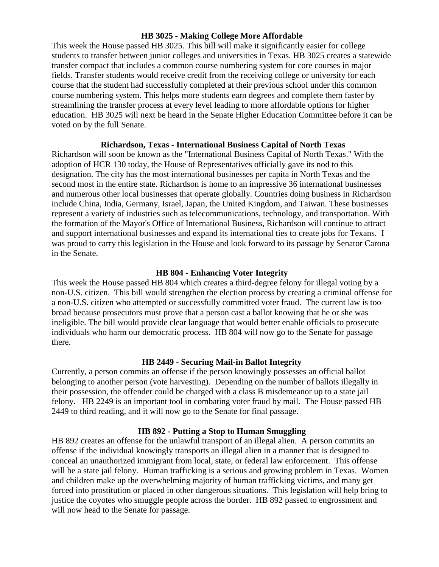#### **HB 3025 - Making College More Affordable**

This week the House passed HB 3025. This bill will make it significantly easier for college students to transfer between junior colleges and universities in Texas. HB 3025 creates a statewide transfer compact that includes a common course numbering system for core courses in major fields. Transfer students would receive credit from the receiving college or university for each course that the student had successfully completed at their previous school under this common course numbering system. This helps more students earn degrees and complete them faster by streamlining the transfer process at every level leading to more affordable options for higher education. HB 3025 will next be heard in the Senate Higher Education Committee before it can be voted on by the full Senate.

#### **Richardson, Texas - International Business Capital of North Texas**

Richardson will soon be known as the "International Business Capital of North Texas." With the adoption of HCR 130 today, the House of Representatives officially gave its nod to this designation. The city has the most international businesses per capita in North Texas and the second most in the entire state. Richardson is home to an impressive 36 international businesses and numerous other local businesses that operate globally. Countries doing business in Richardson include China, India, Germany, Israel, Japan, the United Kingdom, and Taiwan. These businesses represent a variety of industries such as telecommunications, technology, and transportation. With the formation of the Mayor's Office of International Business, Richardson will continue to attract and support international businesses and expand its international ties to create jobs for Texans. I was proud to carry this legislation in the House and look forward to its passage by Senator Carona in the Senate.

#### **HB 804 - Enhancing Voter Integrity**

This week the House passed HB 804 which creates a third-degree felony for illegal voting by a non-U.S. citizen. This bill would strengthen the election process by creating a criminal offense for a non-U.S. citizen who attempted or successfully committed voter fraud. The current law is too broad because prosecutors must prove that a person cast a ballot knowing that he or she was ineligible. The bill would provide clear language that would better enable officials to prosecute individuals who harm our democratic process. HB 804 will now go to the Senate for passage there.

#### **HB 2449 - Securing Mail-in Ballot Integrity**

Currently, a person commits an offense if the person knowingly possesses an official ballot belonging to another person (vote harvesting). Depending on the number of ballots illegally in their possession, the offender could be charged with a class B misdemeanor up to a state jail felony. HB 2249 is an important tool in combating voter fraud by mail. The House passed HB 2449 to third reading, and it will now go to the Senate for final passage.

#### **HB 892 - Putting a Stop to Human Smuggling**

HB 892 creates an offense for the unlawful transport of an illegal alien. A person commits an offense if the individual knowingly transports an illegal alien in a manner that is designed to conceal an unauthorized immigrant from local, state, or federal law enforcement. This offense will be a state jail felony. Human trafficking is a serious and growing problem in Texas. Women and children make up the overwhelming majority of human trafficking victims, and many get forced into prostitution or placed in other dangerous situations. This legislation will help bring to justice the coyotes who smuggle people across the border. HB 892 passed to engrossment and will now head to the Senate for passage.